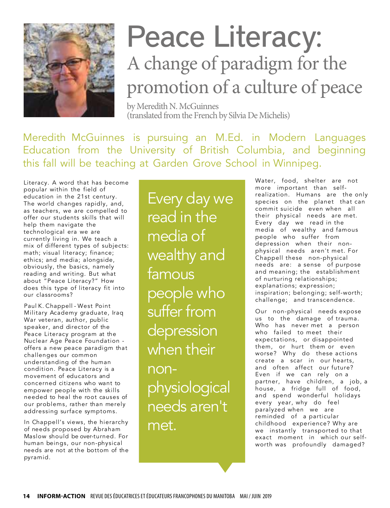

## Peace Literacy: A change of paradigm for the promotion of a culture of peace

by Meredith N. McGuinnes (translated from the French by Silvia De Michelis)

Meredith McGuinnes is pursuing an M.Ed. in Modern Languages Education from the University of British Columbia, and beginning this fall will be teaching at Garden Grove School in Winnipeg.

Literacy. A word that has become popular within the field of education in the 21st century. The world changes rapidly, and, as teachers, we are compelled to offer our students skills that will help them navigate the technological era we are currently living in. We teach a mix of different types of subjects: math; visual literacy; finance; ethics; and media; alongside, obviously, the basics, namely reading and writing. But what about "Peace Literacy?" How does this type of literacy fit into our classrooms?

Paul K. Chappell - West Point Military Academy graduate, Iraq War veteran, author, public speaker, and director of the Peace Literacy program at the Nuclear Age Peace Foundation offers a new peace paradigm that challenges our common understanding of the human condition. Peace Literacy is a movement of educators and concerned citizens who want to empower people with the skills needed to heal the root causes of our problems, rather than merely addressing surface symptoms.

In Chappell's views, the hierarchy of needs proposed by Abraham Maslow should be over-turned. For human beings, our non-physical needs are not at the bottom of the pyramid.

Every day we read in the media of wealthy and famous people who suffer from depression when their nonphysiological needs aren't met.

Water, food, shelter are not more important than selfrealization. Humans are the only species on the planet that can commit suicide even when all their physical needs are met. Every day we read in the media of wealthy and famous people who suffer from depression when their nonphysical needs aren't met. For Chappell these non-physical needs are: a sense of purpose and meaning; the establishment of nurturing relationships; explanations; expression; inspiration; belonging; self-worth; challenge; and transcendence.

Our non-physical needs expose us to the damage of trauma. Who has never met a person who failed to meet their expectations, or disappointed them, or hurt them or even worse? Why do these actions create a scar in our hearts, and often affect our future? Even if we can rely on a partner, have children, a job, a house, a fridge full of food, and spend wonderful holidays every year, why do feel paralyzed when we are reminded of a particular childhood experience? Why are we instantly transported to that exact moment in which our selfworth was profoundly damaged?